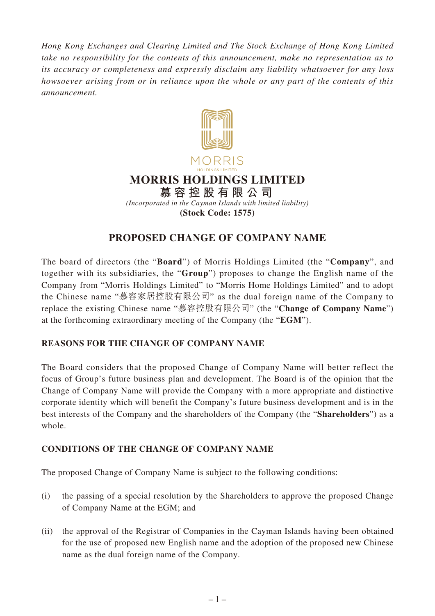*Hong Kong Exchanges and Clearing Limited and The Stock Exchange of Hong Kong Limited take no responsibility for the contents of this announcement, make no representation as to its accuracy or completeness and expressly disclaim any liability whatsoever for any loss howsoever arising from or in reliance upon the whole or any part of the contents of this announcement.*



# **PROPOSED CHANGE OF COMPANY NAME**

The board of directors (the "**Board**") of Morris Holdings Limited (the "**Company**", and together with its subsidiaries, the "**Group**") proposes to change the English name of the Company from "Morris Holdings Limited" to "Morris Home Holdings Limited" and to adopt the Chinese name "慕容家居控股有限公司" as the dual foreign name of the Company to replace the existing Chinese name "慕容控股有限公司" (the "**Change of Company Name**") at the forthcoming extraordinary meeting of the Company (the "**EGM**").

## **REASONS FOR THE CHANGE OF COMPANY NAME**

The Board considers that the proposed Change of Company Name will better reflect the focus of Group's future business plan and development. The Board is of the opinion that the Change of Company Name will provide the Company with a more appropriate and distinctive corporate identity which will benefit the Company's future business development and is in the best interests of the Company and the shareholders of the Company (the "**Shareholders**") as a whole.

## **CONDITIONS OF THE CHANGE OF COMPANY NAME**

The proposed Change of Company Name is subject to the following conditions:

- (i) the passing of a special resolution by the Shareholders to approve the proposed Change of Company Name at the EGM; and
- (ii) the approval of the Registrar of Companies in the Cayman Islands having been obtained for the use of proposed new English name and the adoption of the proposed new Chinese name as the dual foreign name of the Company.